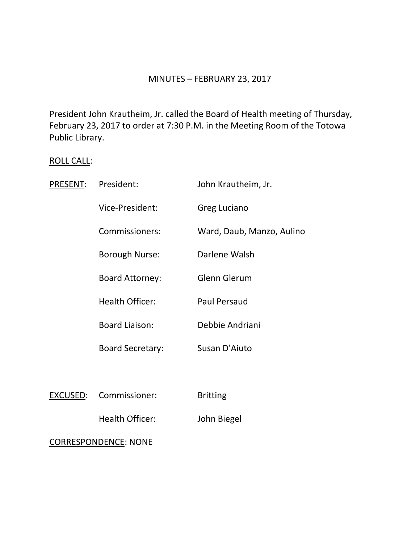### MINUTES – FEBRUARY 23, 2017

President John Krautheim, Jr. called the Board of Health meeting of Thursday, February 23, 2017 to order at 7:30 P.M. in the Meeting Room of the Totowa Public Library.

# ROLL CALL:

| PRESENT:        | President:                  | John Krautheim, Jr.       |
|-----------------|-----------------------------|---------------------------|
|                 | Vice-President:             | <b>Greg Luciano</b>       |
|                 | Commissioners:              | Ward, Daub, Manzo, Aulino |
|                 | <b>Borough Nurse:</b>       | Darlene Walsh             |
|                 | <b>Board Attorney:</b>      | Glenn Glerum              |
|                 | <b>Health Officer:</b>      | <b>Paul Persaud</b>       |
|                 | <b>Board Liaison:</b>       | Debbie Andriani           |
|                 | <b>Board Secretary:</b>     | Susan D'Aiuto             |
|                 |                             |                           |
| <b>EXCUSED:</b> | Commissioner:               | <b>Britting</b>           |
|                 | <b>Health Officer:</b>      | John Biegel               |
|                 | <b>CORRESPONDENCE: NONE</b> |                           |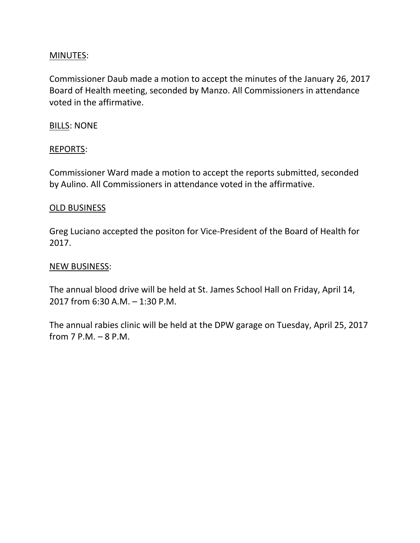## MINUTES:

Commissioner Daub made a motion to accept the minutes of the January 26, 2017 Board of Health meeting, seconded by Manzo. All Commissioners in attendance voted in the affirmative.

## BILLS: NONE

## REPORTS:

Commissioner Ward made a motion to accept the reports submitted, seconded by Aulino. All Commissioners in attendance voted in the affirmative.

### OLD BUSINESS

Greg Luciano accepted the positon for Vice-President of the Board of Health for 2017.

### NEW BUSINESS:

The annual blood drive will be held at St. James School Hall on Friday, April 14, 2017 from 6:30 A.M. – 1:30 P.M.

The annual rabies clinic will be held at the DPW garage on Tuesday, April 25, 2017 from 7 P.M. – 8 P.M.